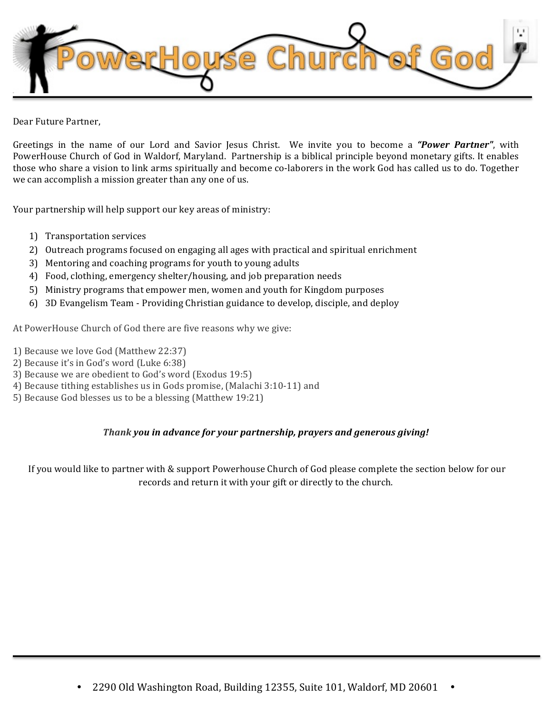

Dear Future Partner.

Greetings in the name of our Lord and Savior Jesus Christ. We invite you to become a **"Power Partner"**, with PowerHouse Church of God in Waldorf, Maryland. Partnership is a biblical principle beyond monetary gifts. It enables those who share a vision to link arms spiritually and become co-laborers in the work God has called us to do. Together we can accomplish a mission greater than any one of us.

Your partnership will help support our key areas of ministry:

- 1) Transportation services
- 2) Outreach programs focused on engaging all ages with practical and spiritual enrichment
- 3) Mentoring and coaching programs for youth to young adults
- 4) Food, clothing, emergency shelter/housing, and job preparation needs
- 5) Ministry programs that empower men, women and youth for Kingdom purposes
- 6) 3D Evangelism Team Providing Christian guidance to develop, disciple, and deploy

At PowerHouse Church of God there are five reasons why we give:

- 1) Because we love God (Matthew 22:37)
- 2) Because it's in God's word (Luke 6:38)
- 3) Because we are obedient to God's word (Exodus 19:5)
- 4) Because tithing establishes us in Gods promise, (Malachi 3:10-11) and
- 5) Because God blesses us to be a blessing (Matthew 19:21)

## *Thank* you in advance for your partnership, prayers and generous giving!

If you would like to partner with & support Powerhouse Church of God please complete the section below for our records and return it with your gift or directly to the church.